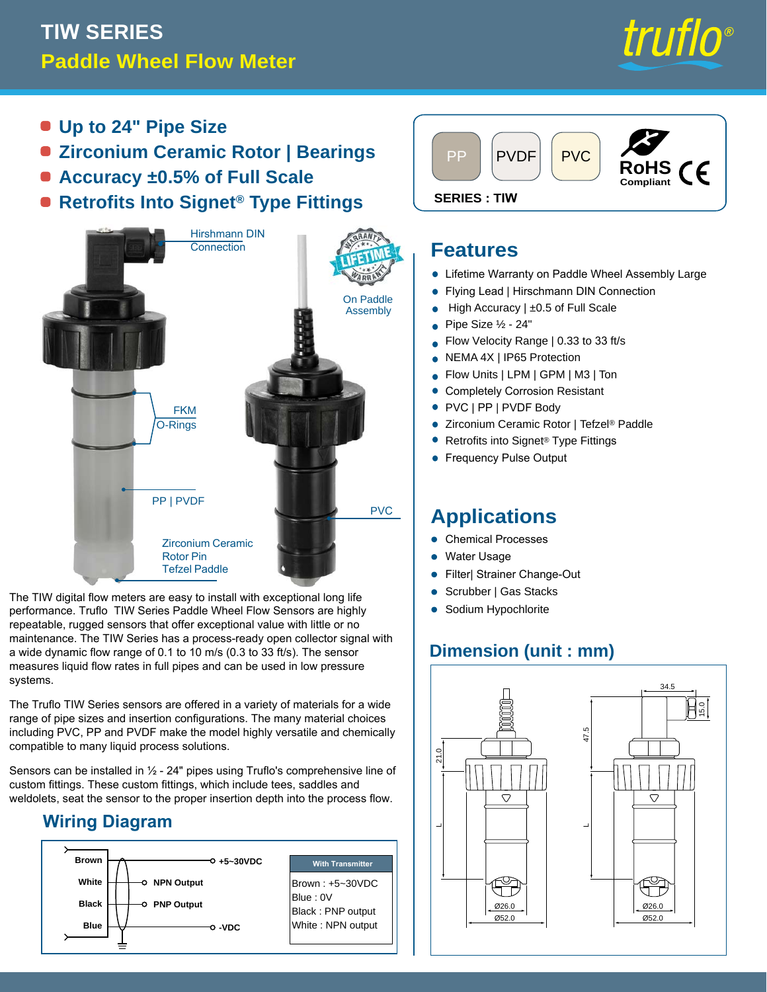# **TIW SERIES Paddle Wheel Flow Meter**



- **Up to 24" Pipe Size**
- **Zirconium Ceramic Rotor | Bearings**
- **Accuracy ±0.5% of Full Scale**
- **e** Retrofits Into Signet<sup>®</sup> Type Fittings SERIES: TIW



The TIW digital flow meters are easy to install with exceptional long life performance. Truflo TIW Series Paddle Wheel Flow Sensors are highly repeatable, rugged sensors that offer exceptional value with little or no maintenance. The TIW Series has a process-ready open collector signal with a wide dynamic flow range of 0.1 to 10 m/s (0.3 to 33 ft/s). The sensor measures liquid flow rates in full pipes and can be used in low pressure systems.

The Truflo TIW Series sensors are offered in a variety of materials for a wide range of pipe sizes and insertion configurations. The many material choices including PVC, PP and PVDF make the model highly versatile and chemically compatible to many liquid process solutions.

Sensors can be installed in ½ - 24" pipes using Truflo's comprehensive line of custom fittings. These custom fittings, which include tees, saddles and weldolets, seat the sensor to the proper insertion depth into the process flow.

### **Wiring Diagram**





#### **Features**

- **Lifetime Warranty on Paddle Wheel Assembly Large**
- Flying Lead | Hirschmann DIN Connection •
- High Accuracy | ±0.5 of Full Scale •
- Pipe Size ½ 24" •
- Flow Velocity Range | 0.33 to 33 ft/s •
- NEMA 4X | IP65 Protection •
- Flow Units | LPM | GPM | M3 | Ton •
- Completely Corrosion Resistant •
- PVC | PP | PVDF Body
- Zirconium Ceramic Rotor | Tefzel® Paddle •
- Retrofits into Signet® Type Fittings •
- Frequency Pulse Output •

## **Applications**

- **Chemical Processes**
- Water Usage •
- Filter| Strainer Change-Out
- Scrubber | Gas Stacks •
- Sodium Hypochlorite

### **Dimension (unit : mm)**